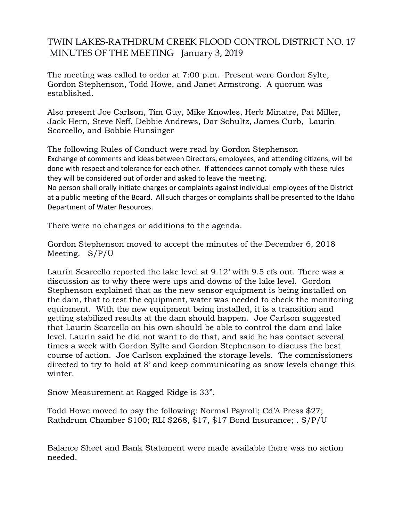## TWIN LAKES-RATHDRUM CREEK FLOOD CONTROL DISTRICT NO. 17 MINUTES OF THE MEETING January 3, 2019

The meeting was called to order at 7:00 p.m. Present were Gordon Sylte, Gordon Stephenson, Todd Howe, and Janet Armstrong. A quorum was established.

Also present Joe Carlson, Tim Guy, Mike Knowles, Herb Minatre, Pat Miller, Jack Hern, Steve Neff, Debbie Andrews, Dar Schultz, James Curb, Laurin Scarcello, and Bobbie Hunsinger

The following Rules of Conduct were read by Gordon Stephenson Exchange of comments and ideas between Directors, employees, and attending citizens, will be done with respect and tolerance for each other. If attendees cannot comply with these rules they will be considered out of order and asked to leave the meeting.

No person shall orally initiate charges or complaints against individual employees of the District at a public meeting of the Board. All such charges or complaints shall be presented to the Idaho Department of Water Resources.

There were no changes or additions to the agenda.

Gordon Stephenson moved to accept the minutes of the December 6, 2018 Meeting. S/P/U

Laurin Scarcello reported the lake level at 9.12' with 9.5 cfs out. There was a discussion as to why there were ups and downs of the lake level. Gordon Stephenson explained that as the new sensor equipment is being installed on the dam, that to test the equipment, water was needed to check the monitoring equipment. With the new equipment being installed, it is a transition and getting stabilized results at the dam should happen. Joe Carlson suggested that Laurin Scarcello on his own should be able to control the dam and lake level. Laurin said he did not want to do that, and said he has contact several times a week with Gordon Sylte and Gordon Stephenson to discuss the best course of action. Joe Carlson explained the storage levels. The commissioners directed to try to hold at 8' and keep communicating as snow levels change this winter.

Snow Measurement at Ragged Ridge is 33".

Todd Howe moved to pay the following: Normal Payroll; Cd'A Press \$27; Rathdrum Chamber \$100; RLI \$268, \$17, \$17 Bond Insurance; . S/P/U

Balance Sheet and Bank Statement were made available there was no action needed.